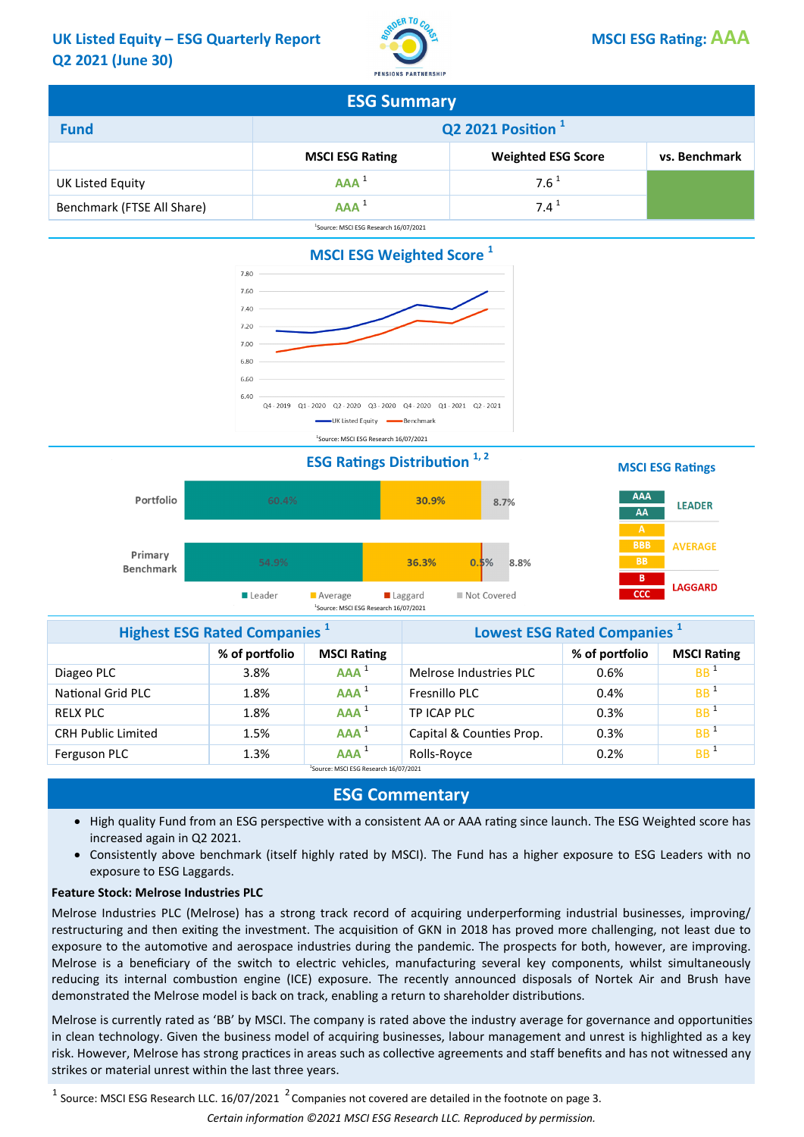#### UK Listed Equity – ESG Quarterly Report No. STAN STANDARD DISCLESG Rating: AAA Q2 2021 (June 30)



| <b>ESG Summary</b>                                |                                                                      |                  |  |  |  |
|---------------------------------------------------|----------------------------------------------------------------------|------------------|--|--|--|
| Q2 2021 Position <sup>1</sup><br><b>Fund</b>      |                                                                      |                  |  |  |  |
|                                                   | <b>Weighted ESG Score</b><br><b>MSCI ESG Rating</b><br>vs. Benchmark |                  |  |  |  |
| UK Listed Equity                                  | $AAA^1$                                                              | $7.6^{\text{1}}$ |  |  |  |
| Benchmark (FTSE All Share)                        | AAA <sup>1</sup>                                                     | $7.4^1$          |  |  |  |
| <sup>1</sup> Source: MSCI ESG Research 16/07/2021 |                                                                      |                  |  |  |  |



**ESG Ratings Distribution**  $1, 2$  **ESG Ratings MSCI ESG Ratings** 





| <b>Highest ESG Rated Companies</b> <sup>1</sup>   |                | Lowest ESG Rated Companies <sup>1</sup> |                          |                |                    |
|---------------------------------------------------|----------------|-----------------------------------------|--------------------------|----------------|--------------------|
|                                                   | % of portfolio | <b>MSCI Rating</b>                      |                          | % of portfolio | <b>MSCI Rating</b> |
| Diageo PLC                                        | 3.8%           | AAA <sup>1</sup>                        | Melrose Industries PLC   | 0.6%           | BB <sup>1</sup>    |
| <b>National Grid PLC</b>                          | 1.8%           | $AAA^1$                                 | Fresnillo PLC            | 0.4%           | BB <sup>1</sup>    |
| <b>RELX PLC</b>                                   | 1.8%           | $AAA^1$                                 | TP ICAP PLC              | 0.3%           | BB <sup>1</sup>    |
| <b>CRH Public Limited</b>                         | 1.5%           | $AAA^1$                                 | Capital & Counties Prop. | 0.3%           | BB <sup>1</sup>    |
| Ferguson PLC                                      | 1.3%           | $AAA^1$                                 | Rolls-Royce              | 0.2%           | BB <sup>1</sup>    |
| <sup>1</sup> Source: MSCI ESG Research 16/07/2021 |                |                                         |                          |                |                    |

### ESG Commentary

- High quality Fund from an ESG perspective with a consistent AA or AAA rating since launch. The ESG Weighted score has increased again in Q2 2021.
- Consistently above benchmark (itself highly rated by MSCI). The Fund has a higher exposure to ESG Leaders with no exposure to ESG Laggards.

#### Feature Stock: Melrose Industries PLC

Melrose Industries PLC (Melrose) has a strong track record of acquiring underperforming industrial businesses, improving/ restructuring and then exiting the investment. The acquisition of GKN in 2018 has proved more challenging, not least due to exposure to the automotive and aerospace industries during the pandemic. The prospects for both, however, are improving. Melrose is a beneficiary of the switch to electric vehicles, manufacturing several key components, whilst simultaneously reducing its internal combustion engine (ICE) exposure. The recently announced disposals of Nortek Air and Brush have demonstrated the Melrose model is back on track, enabling a return to shareholder distributions.

Melrose is currently rated as 'BB' by MSCI. The company is rated above the industry average for governance and opportunities in clean technology. Given the business model of acquiring businesses, labour management and unrest is highlighted as a key risk. However, Melrose has strong practices in areas such as collective agreements and staff benefits and has not witnessed any strikes or material unrest within the last three years.

 $^1$  Source: MSCI ESG Research LLC. 16/07/2021  $^2$  Companies not covered are detailed in the footnote on page 3.

Certain information ©2021 MSCI ESG Research LLC. Reproduced by permission.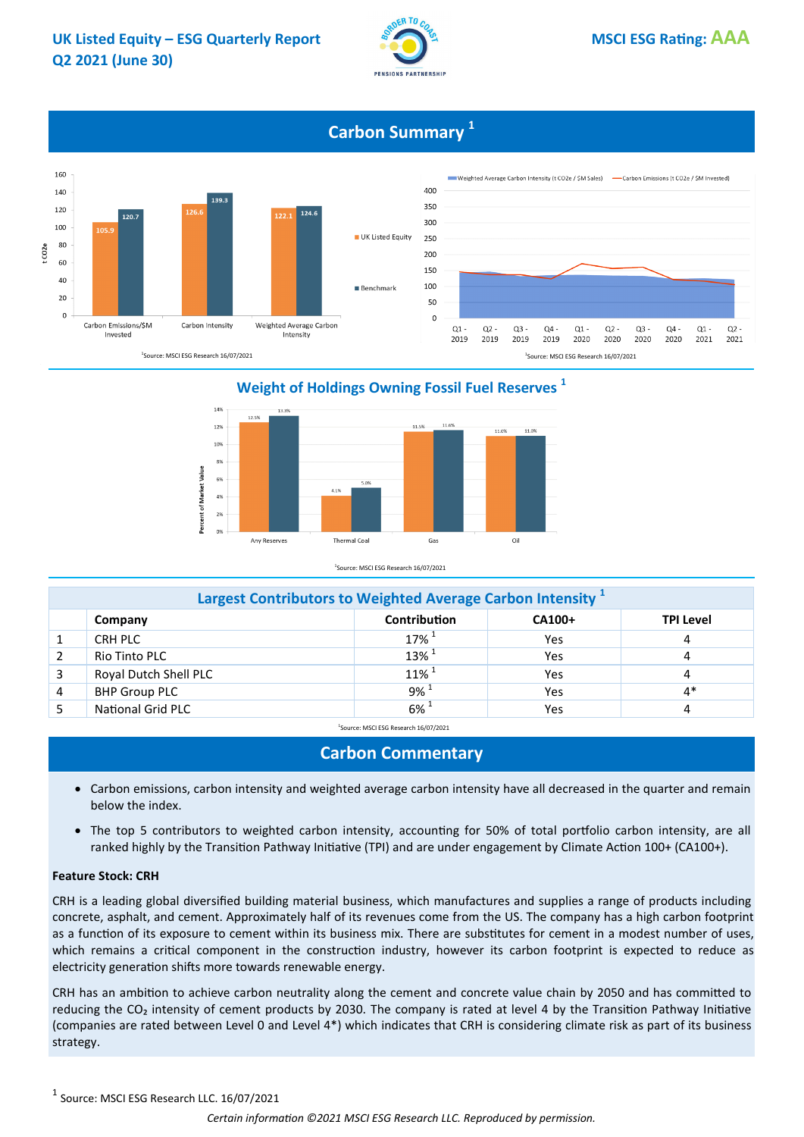

# **Carbon Summary**<sup>1</sup>



14% 11.6% 12% 11.5% 11.0% 11.0% 109 8% Percent of Market Value 6%  $4.19$ 49 2% Any Reserves Thermal Coal Gas Oil

Weight of Holdings Owning Fossil Fuel Reserves<sup>1</sup>

<sup>1</sup>Source: MSCI ESG Research 16/07/2021

| Largest Contributors to Weighted Average Carbon Intensity |                       |                     |        |                  |  |
|-----------------------------------------------------------|-----------------------|---------------------|--------|------------------|--|
|                                                           | Company               | <b>Contribution</b> | CA100+ | <b>TPI Level</b> |  |
|                                                           | CRH PLC               | $17\%$ <sup>1</sup> | Yes    | 4                |  |
|                                                           | Rio Tinto PLC         | $13\%$ <sup>1</sup> | Yes    | 4                |  |
| 3                                                         | Royal Dutch Shell PLC | $11\%$ <sup>1</sup> | Yes    | 4                |  |
| $\overline{4}$                                            | <b>BHP Group PLC</b>  | $9\%$ <sup>1</sup>  | Yes    | $4*$             |  |
|                                                           | National Grid PLC     | $6\%$ <sup>1</sup>  | Yes    |                  |  |

<sup>1</sup>Source: MSCI ESG Research 16/07/2021

#### Carbon Commentary

- Carbon emissions, carbon intensity and weighted average carbon intensity have all decreased in the quarter and remain below the index.
- The top 5 contributors to weighted carbon intensity, accounting for 50% of total portfolio carbon intensity, are all ranked highly by the Transition Pathway Initiative (TPI) and are under engagement by Climate Action 100+ (CA100+).

#### Feature Stock: CRH

CRH is a leading global diversified building material business, which manufactures and supplies a range of products including concrete, asphalt, and cement. Approximately half of its revenues come from the US. The company has a high carbon footprint as a function of its exposure to cement within its business mix. There are substitutes for cement in a modest number of uses, which remains a critical component in the construction industry, however its carbon footprint is expected to reduce as electricity generation shifts more towards renewable energy.

CRH has an ambition to achieve carbon neutrality along the cement and concrete value chain by 2050 and has committed to reducing the CO<sub>2</sub> intensity of cement products by 2030. The company is rated at level 4 by the Transition Pathway Initiative (companies are rated between Level 0 and Level 4\*) which indicates that CRH is considering climate risk as part of its business strategy.

 $^1$  Source: MSCI ESG Research LLC. 16/07/2021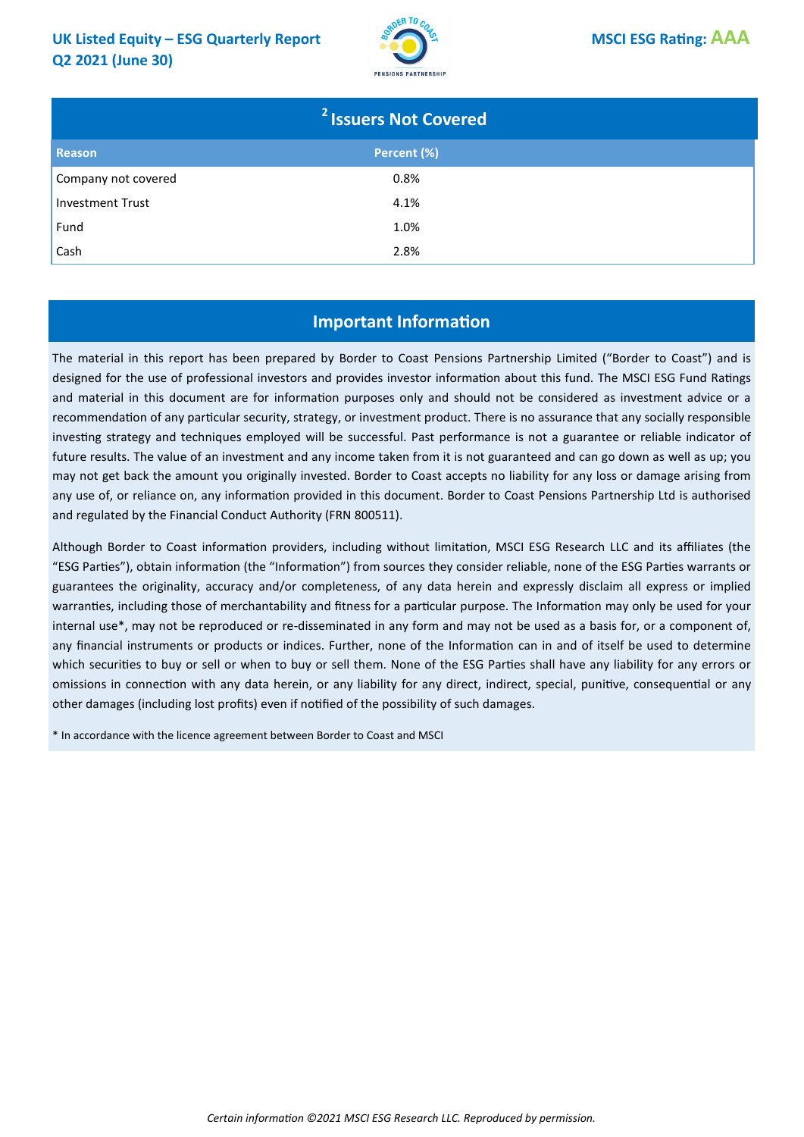#### UK Listed Equity – ESG Quarterly Report  $\overline{\mathcal{L}}$  **Standing** Domestic Domestic Domestic Domestic Domestic Domestic Domestic Domestic Domestic Domestic Domestic Domestic Domestic Domestic Domestic Domestic Domestic Domest Q2 2021 (June 30)



| <sup>2</sup> Issuers Not Covered |             |  |  |
|----------------------------------|-------------|--|--|
| Reason                           | Percent (%) |  |  |
| Company not covered              | 0.8%        |  |  |
| Investment Trust                 | 4.1%        |  |  |
| Fund                             | 1.0%        |  |  |
| Cash                             | 2.8%        |  |  |

# Important Information

The material in this report has been prepared by Border to Coast Pensions Partnership Limited ("Border to Coast") and is designed for the use of professional investors and provides investor information about this fund. The MSCI ESG Fund Ratings and material in this document are for information purposes only and should not be considered as investment advice or a recommendation of any particular security, strategy, or investment product. There is no assurance that any socially responsible investing strategy and techniques employed will be successful. Past performance is not a guarantee or reliable indicator of future results. The value of an investment and any income taken from it is not guaranteed and can go down as well as up; you may not get back the amount you originally invested. Border to Coast accepts no liability for any loss or damage arising from any use of, or reliance on, any information provided in this document. Border to Coast Pensions Partnership Ltd is authorised and regulated by the Financial Conduct Authority (FRN 800511).

Although Border to Coast information providers, including without limitation, MSCI ESG Research LLC and its affiliates (the "ESG Parties"), obtain information (the "Information") from sources they consider reliable, none of the ESG Parties warrants or guarantees the originality, accuracy and/or completeness, of any data herein and expressly disclaim all express or implied warranties, including those of merchantability and fitness for a particular purpose. The Information may only be used for your internal use\*, may not be reproduced or re-disseminated in any form and may not be used as a basis for, or a component of, any financial instruments or products or indices. Further, none of the Information can in and of itself be used to determine which securities to buy or sell or when to buy or sell them. None of the ESG Parties shall have any liability for any errors or omissions in connection with any data herein, or any liability for any direct, indirect, special, punitive, consequential or any other damages (including lost profits) even if notified of the possibility of such damages.

\* In accordance with the licence agreement between Border to Coast and MSCI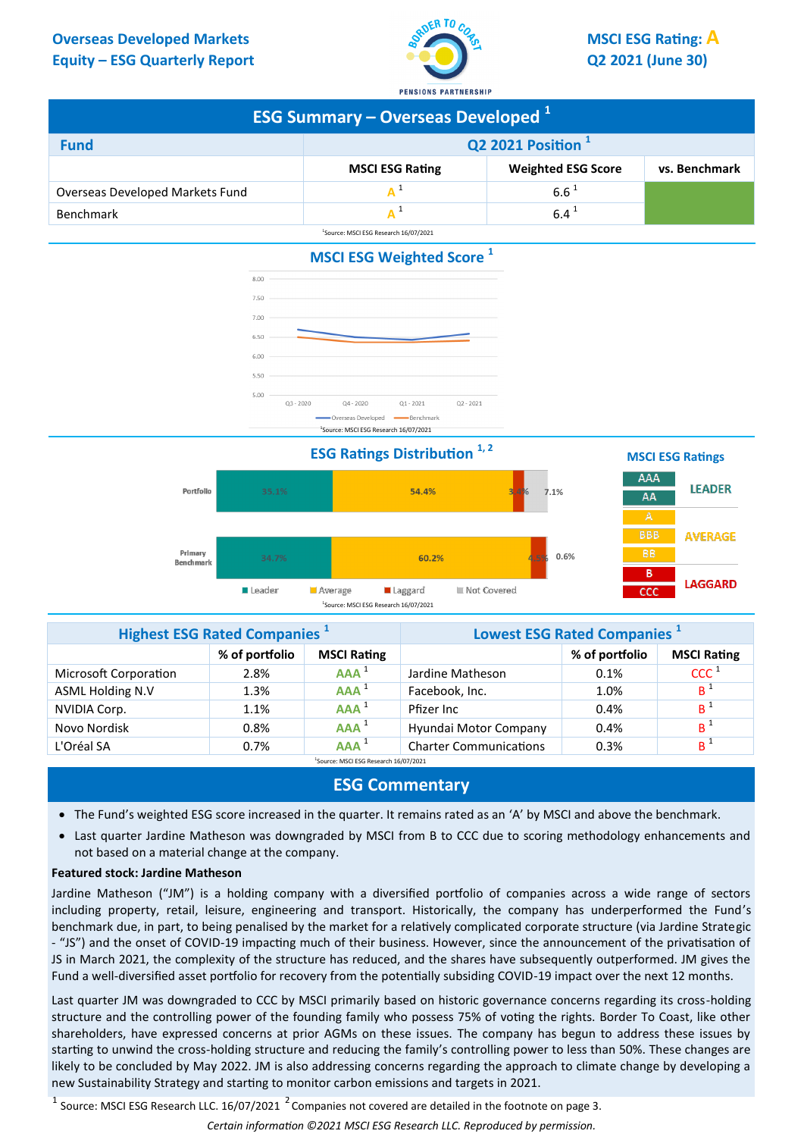# **Equity – ESG Quarterly Report Q2 2021 (June 30)**



| <b>ESG Summary - Overseas Developed 1</b>    |                                                                      |                  |  |  |  |
|----------------------------------------------|----------------------------------------------------------------------|------------------|--|--|--|
| Q2 2021 Position <sup>1</sup><br><b>Fund</b> |                                                                      |                  |  |  |  |
|                                              | <b>Weighted ESG Score</b><br><b>MSCI ESG Rating</b><br>vs. Benchmark |                  |  |  |  |
| Overseas Developed Markets Fund              |                                                                      | $6.6^{\text{1}}$ |  |  |  |
| <b>Benchmark</b>                             |                                                                      | $6.4^{\text{1}}$ |  |  |  |
|                                              | <sup>1</sup> Source: MSCI ESG Research 16/07/2021                    |                  |  |  |  |





| <b>Highest ESG Rated Companies</b> <sup>1</sup> |                | Lowest ESG Rated Companies <sup>1</sup>           |                               |                |                    |
|-------------------------------------------------|----------------|---------------------------------------------------|-------------------------------|----------------|--------------------|
|                                                 | % of portfolio | <b>MSCI Rating</b>                                |                               | % of portfolio | <b>MSCI Rating</b> |
| <b>Microsoft Corporation</b>                    | 2.8%           | $AAA^1$                                           | Jardine Matheson              | 0.1%           | CCC <sup>1</sup>   |
| <b>ASML Holding N.V</b>                         | 1.3%           | $AAA^1$                                           | Facebook, Inc.                | 1.0%           | B <sup>1</sup>     |
| NVIDIA Corp.                                    | 1.1%           | $AAA^1$                                           | Pfizer Inc                    | 0.4%           | B <sup>1</sup>     |
| Novo Nordisk                                    | 0.8%           | $AAA^1$                                           | Hyundai Motor Company         | 0.4%           | B <sup>1</sup>     |
| L'Oréal SA                                      | 0.7%           | $AAA^1$                                           | <b>Charter Communications</b> | 0.3%           | B <sup>1</sup>     |
|                                                 |                | <sup>1</sup> Source: MSCI ESG Research 16/07/2021 |                               |                |                    |

# **ESG Commentary**

- The Fund's weighted ESG score increased in the quarter. It remains rated as an 'A' by MSCI and above the benchmark.
- Last quarter Jardine Matheson was downgraded by MSCI from B to CCC due to scoring methodology enhancements and not based on a material change at the company.

#### **Featured stock: Jardine Matheson**

Jardine Matheson ("JM") is a holding company with a diversified portfolio of companies across a wide range of sectors including property, retail, leisure, engineering and transport. Historically, the company has underperformed the Fund's benchmark due, in part, to being penalised by the market for a relatively complicated corporate structure (via Jardine Strategic - "JS") and the onset of COVID-19 impacting much of their business. However, since the announcement of the privatisation of JS in March 2021, the complexity of the structure has reduced, and the shares have subsequently outperformed. JM gives the Fund a well-diversified asset portfolio for recovery from the potentially subsiding COVID-19 impact over the next 12 months.

Last quarter JM was downgraded to CCC by MSCI primarily based on historic governance concerns regarding its cross-holding structure and the controlling power of the founding family who possess 75% of voting the rights. Border To Coast, like other shareholders, have expressed concerns at prior AGMs on these issues. The company has begun to address these issues by starting to unwind the cross-holding structure and reducing the family's controlling power to less than 50%. These changes are likely to be concluded by May 2022. JM is also addressing concerns regarding the approach to climate change by developing a new Sustainability Strategy and starting to monitor carbon emissions and targets in 2021.

<sup>1</sup> Source: MSCI ESG Research LLC. 16/07/2021 <sup>2</sup> Companies not covered are detailed in the footnote on page 3.

*Certain information ©2021 MSCI ESG Research LLC. Reproduced by permission.*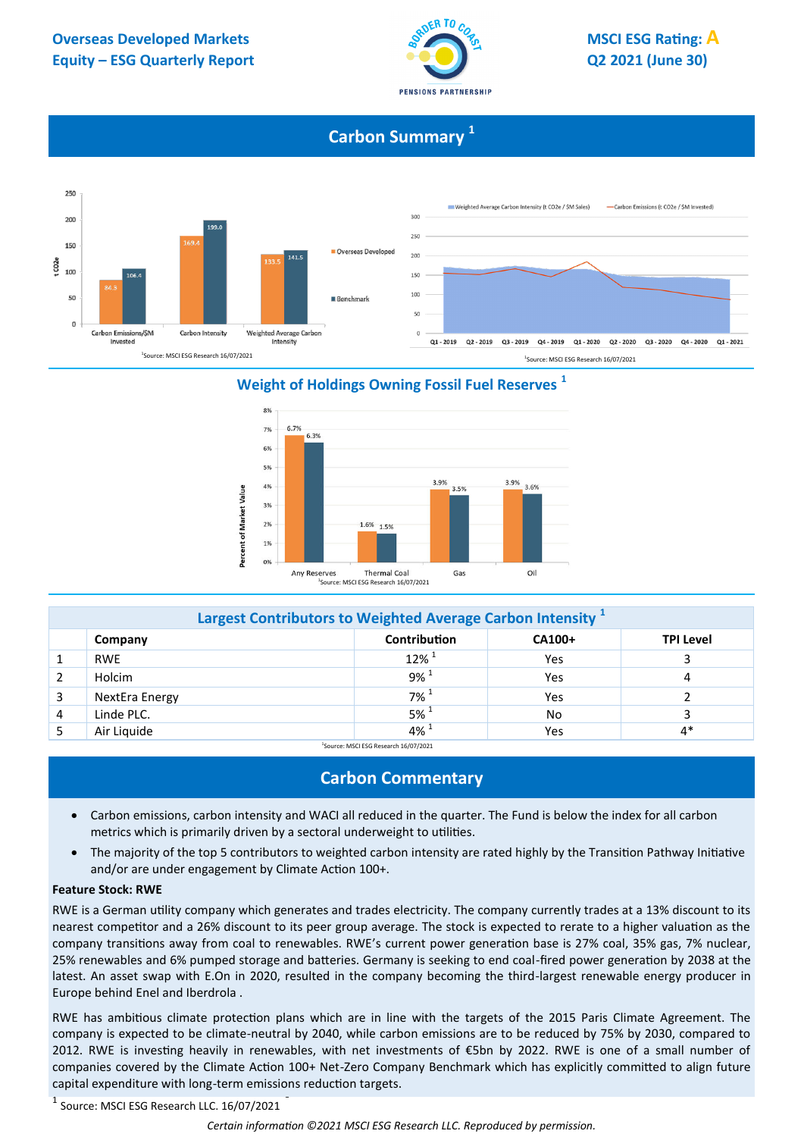

# **Carbon Summary <sup>1</sup>**



# **Weight of Holdings Owning Fossil Fuel Reserves <sup>1</sup>**



| Largest Contributors to Weighted Average Carbon Intensity <sup>1</sup> |                                                              |                     |     |      |  |  |  |
|------------------------------------------------------------------------|--------------------------------------------------------------|---------------------|-----|------|--|--|--|
|                                                                        | <b>Contribution</b><br>CA100+<br><b>TPI Level</b><br>Company |                     |     |      |  |  |  |
|                                                                        | <b>RWE</b>                                                   | $12\%$ <sup>1</sup> | Yes |      |  |  |  |
|                                                                        | Holcim                                                       | $9\%$ <sup>1</sup>  | Yes | 4    |  |  |  |
|                                                                        | NextEra Energy                                               | $7\%$ <sup>1</sup>  | Yes |      |  |  |  |
| 4                                                                      | Linde PLC.                                                   | $5\%$ <sup>1</sup>  | No. |      |  |  |  |
|                                                                        | Air Liquide                                                  | $4\%$ <sup>1</sup>  | Yes | $4*$ |  |  |  |

Source: MSCI ESG Research 16/07/2021

# **Carbon Commentary**

- Carbon emissions, carbon intensity and WACI all reduced in the quarter. The Fund is below the index for all carbon metrics which is primarily driven by a sectoral underweight to utilities.
- The majority of the top 5 contributors to weighted carbon intensity are rated highly by the Transition Pathway Initiative and/or are under engagement by Climate Action 100+.

#### **Feature Stock: RWE**

RWE is a German utility company which generates and trades electricity. The company currently trades at a 13% discount to its nearest competitor and a 26% discount to its peer group average. The stock is expected to rerate to a higher valuation as the company transitions away from coal to renewables. RWE's current power generation base is 27% coal, 35% gas, 7% nuclear, 25% renewables and 6% pumped storage and batteries. Germany is seeking to end coal-fired power generation by 2038 at the latest. An asset swap with E.On in 2020, resulted in the company becoming the third-largest renewable energy producer in Europe behind Enel and Iberdrola .

RWE has ambitious climate protection plans which are in line with the targets of the 2015 Paris Climate Agreement. The company is expected to be climate-neutral by 2040, while carbon emissions are to be reduced by 75% by 2030, compared to 2012. RWE is investing heavily in renewables, with net investments of €5bn by 2022. RWE is one of a small number of companies covered by the Climate Action 100+ Net-Zero Company Benchmark which has explicitly committed to align future capital expenditure with long-term emissions reduction targets.

<sup>1</sup> Source: MSCI ESG Research LLC. 16/07/2021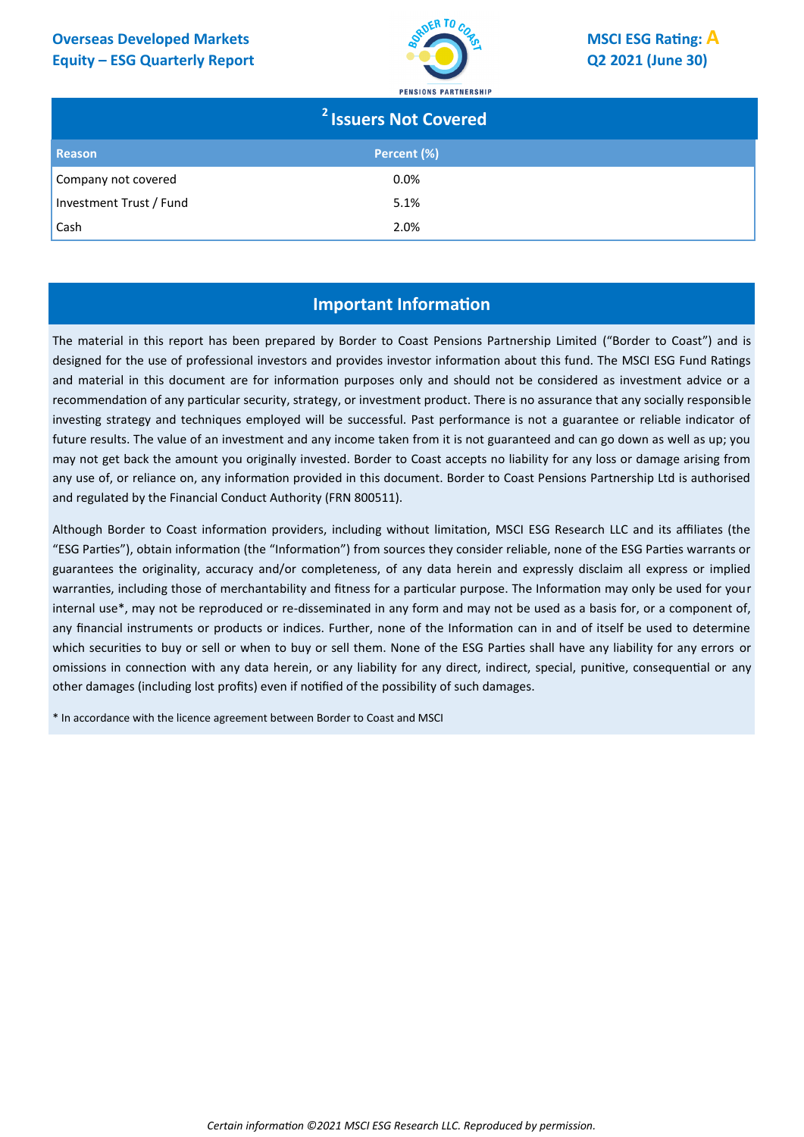# **Equity – ESG Quarterly Report Q2 2021 (June 30)**



|                         | <sup>2</sup> Issuers Not Covered |  |
|-------------------------|----------------------------------|--|
| <b>Reason</b>           | Percent (%)                      |  |
| Company not covered     | $0.0\%$                          |  |
| Investment Trust / Fund | 5.1%                             |  |
| Cash                    | 2.0%                             |  |

# **Important Information**

The material in this report has been prepared by Border to Coast Pensions Partnership Limited ("Border to Coast") and is designed for the use of professional investors and provides investor information about this fund. The MSCI ESG Fund Ratings and material in this document are for information purposes only and should not be considered as investment advice or a recommendation of any particular security, strategy, or investment product. There is no assurance that any socially responsible investing strategy and techniques employed will be successful. Past performance is not a guarantee or reliable indicator of future results. The value of an investment and any income taken from it is not guaranteed and can go down as well as up; you may not get back the amount you originally invested. Border to Coast accepts no liability for any loss or damage arising from any use of, or reliance on, any information provided in this document. Border to Coast Pensions Partnership Ltd is authorised and regulated by the Financial Conduct Authority (FRN 800511).

Although Border to Coast information providers, including without limitation, MSCI ESG Research LLC and its affiliates (the "ESG Parties"), obtain information (the "Information") from sources they consider reliable, none of the ESG Parties warrants or guarantees the originality, accuracy and/or completeness, of any data herein and expressly disclaim all express or implied warranties, including those of merchantability and fitness for a particular purpose. The Information may only be used for your internal use\*, may not be reproduced or re-disseminated in any form and may not be used as a basis for, or a component of, any financial instruments or products or indices. Further, none of the Information can in and of itself be used to determine which securities to buy or sell or when to buy or sell them. None of the ESG Parties shall have any liability for any errors or omissions in connection with any data herein, or any liability for any direct, indirect, special, punitive, consequential or any other damages (including lost profits) even if notified of the possibility of such damages.

\* In accordance with the licence agreement between Border to Coast and MSCI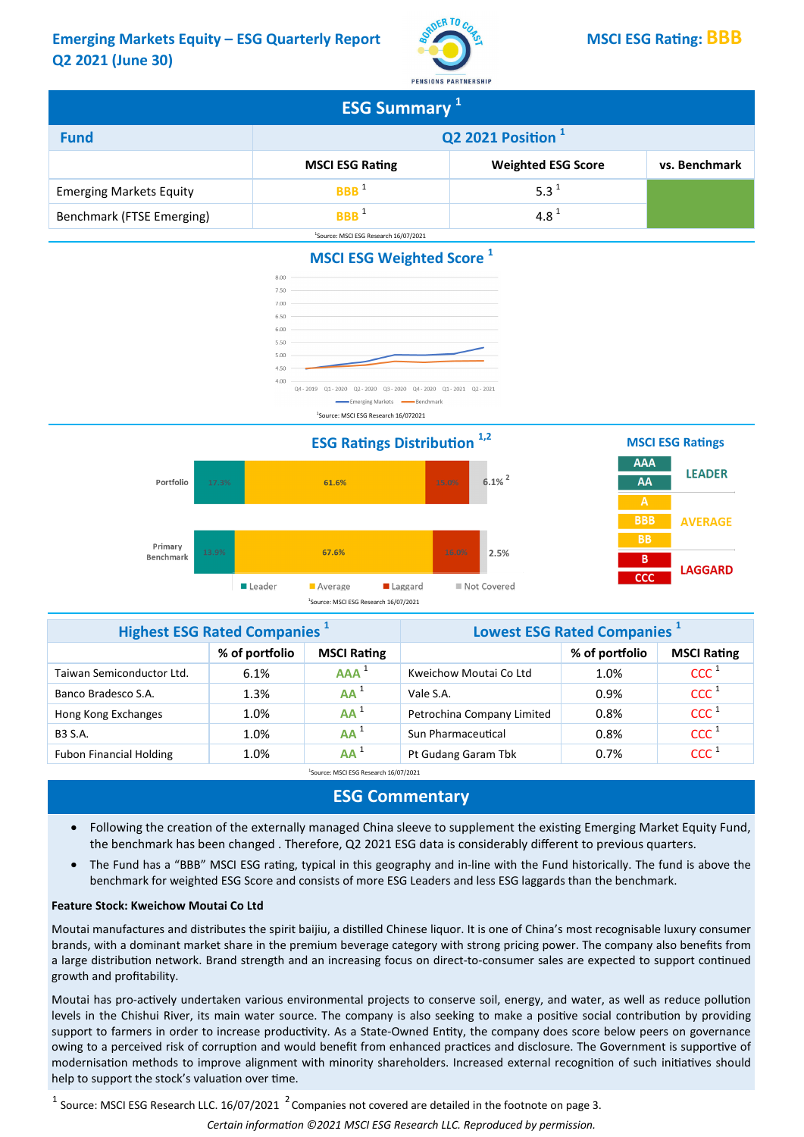# Emerging Markets Equity – ESG Quarterly Report  $\frac{1}{2}$ <sup>RDER TO CO<sub>Z</sub>A</sub> MSCI ESG Rating: BBB</sup> Q2 2021 (June 30)



| <b>ESG Summary</b> 1           |                               |                           |               |  |
|--------------------------------|-------------------------------|---------------------------|---------------|--|
| <b>Fund</b>                    | Q2 2021 Position <sup>1</sup> |                           |               |  |
|                                | <b>MSCI ESG Rating</b>        | <b>Weighted ESG Score</b> | vs. Benchmark |  |
| <b>Emerging Markets Equity</b> | BBB                           | 5.3 <sup>1</sup>          |               |  |
| Benchmark (FTSE Emerging)      | <b>RRR</b>                    | $4.8^{\text{1}}$          |               |  |

# MSCI ESG Weighted Score<sup>1</sup>

<sup>1</sup>Source: MSCI ESG Research 16/07/2021



<sup>1</sup>Source: MSCI ESG Research 16/072021





| <b>Highest ESG Rated Companies</b> <sup>1</sup> |                | Lowest ESG Rated Companies <sup>1</sup> |                            |                |                    |
|-------------------------------------------------|----------------|-----------------------------------------|----------------------------|----------------|--------------------|
|                                                 | % of portfolio | <b>MSCI Rating</b>                      |                            | % of portfolio | <b>MSCI Rating</b> |
| Taiwan Semiconductor Ltd.                       | 6.1%           | AAA <sup>1</sup>                        | Kweichow Moutai Co Ltd     | 1.0%           | CCC <sup>1</sup>   |
| Banco Bradesco S.A.                             | 1.3%           | $AA^1$                                  | Vale S.A.                  | 0.9%           | CCC <sup>1</sup>   |
| Hong Kong Exchanges                             | 1.0%           | $AA^1$                                  | Petrochina Company Limited | 0.8%           | CCC <sup>1</sup>   |
| <b>B3 S.A.</b>                                  | 1.0%           | $AA^1$                                  | Sun Pharmaceutical         | 0.8%           | CCC <sup>1</sup>   |
| <b>Fubon Financial Holding</b>                  | 1.0%           | $AA^1$                                  | Pt Gudang Garam Tbk        | 0.7%           | CCC <sup>1</sup>   |

<sup>1</sup>Source: MSCI ESG Research 16/07/2021

### ESG Commentary

- Following the creation of the externally managed China sleeve to supplement the existing Emerging Market Equity Fund, the benchmark has been changed. Therefore, Q2 2021 ESG data is considerably different to previous quarters.
- The Fund has a "BBB" MSCI ESG rating, typical in this geography and in-line with the Fund historically. The fund is above the benchmark for weighted ESG Score and consists of more ESG Leaders and less ESG laggards than the benchmark.

#### Feature Stock: Kweichow Moutai Co Ltd

Moutai manufactures and distributes the spirit baijiu, a distilled Chinese liquor. It is one of China's most recognisable luxury consumer brands, with a dominant market share in the premium beverage category with strong pricing power. The company also benefits from a large distribution network. Brand strength and an increasing focus on direct-to-consumer sales are expected to support continued growth and profitability.

Moutai has pro-actively undertaken various environmental projects to conserve soil, energy, and water, as well as reduce pollution levels in the Chishui River, its main water source. The company is also seeking to make a positive social contribution by providing support to farmers in order to increase productivity. As a State-Owned Entity, the company does score below peers on governance owing to a perceived risk of corruption and would benefit from enhanced practices and disclosure. The Government is supportive of modernisation methods to improve alignment with minority shareholders. Increased external recognition of such initiatives should help to support the stock's valuation over time.

 $^1$  Source: MSCI ESG Research LLC. 16/07/2021  $^2$  Companies not covered are detailed in the footnote on page 3.

Certain information ©2021 MSCI ESG Research LLC. Reproduced by permission.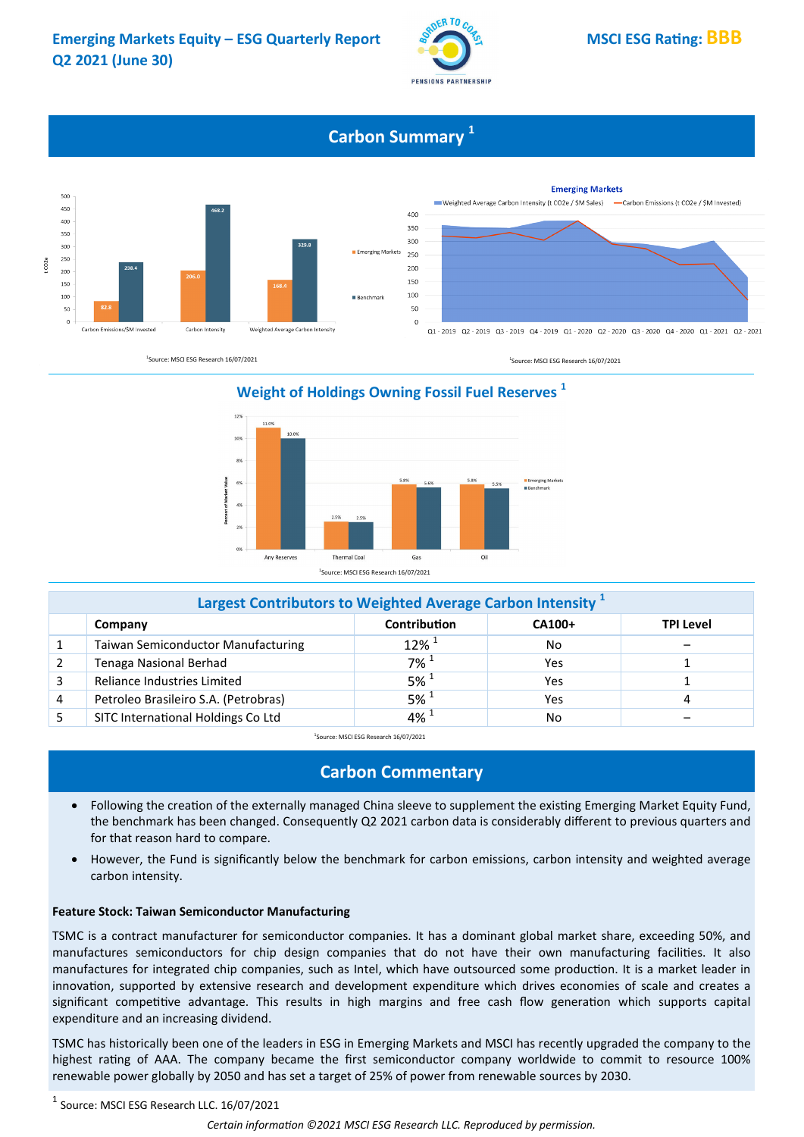

# **Carbon Summary**<sup>1</sup>



# Weight of Holdings Owning Fossil Fuel Reserves<sup>1</sup>



|   | Largest Contributors to Weighted Average Carbon Intensity <sup>1</sup> |                     |        |           |  |  |
|---|------------------------------------------------------------------------|---------------------|--------|-----------|--|--|
|   | Company                                                                | Contribution        | CA100+ | TPI Level |  |  |
|   | Taiwan Semiconductor Manufacturing                                     | $12\%$ <sup>1</sup> | No     |           |  |  |
|   | Tenaga Nasional Berhad                                                 | $7\%$ <sup>1</sup>  | Yes    |           |  |  |
|   | Reliance Industries Limited                                            | $5\%$ <sup>1</sup>  | Yes    |           |  |  |
| 4 | Petroleo Brasileiro S.A. (Petrobras)                                   | $5\%$ <sup>1</sup>  | Yes    | 4         |  |  |
|   | SITC International Holdings Co Ltd                                     | $4\%$ <sup>1</sup>  | No     |           |  |  |

<sup>1</sup>Source: MSCI ESG Research 16/07/2021

# Carbon Commentary

- Following the creation of the externally managed China sleeve to supplement the existing Emerging Market Equity Fund, the benchmark has been changed. Consequently Q2 2021 carbon data is considerably different to previous quarters and for that reason hard to compare.
- However, the Fund is significantly below the benchmark for carbon emissions, carbon intensity and weighted average carbon intensity.

#### Feature Stock: Taiwan Semiconductor Manufacturing

TSMC is a contract manufacturer for semiconductor companies. It has a dominant global market share, exceeding 50%, and manufactures semiconductors for chip design companies that do not have their own manufacturing facilities. It also manufactures for integrated chip companies, such as Intel, which have outsourced some production. It is a market leader in innovation, supported by extensive research and development expenditure which drives economies of scale and creates a significant competitive advantage. This results in high margins and free cash flow generation which supports capital expenditure and an increasing dividend.

TSMC has historically been one of the leaders in ESG in Emerging Markets and MSCI has recently upgraded the company to the highest rating of AAA. The company became the first semiconductor company worldwide to commit to resource 100% renewable power globally by 2050 and has set a target of 25% of power from renewable sources by 2030.

 $^1$  Source: MSCI ESG Research LLC. 16/07/2021